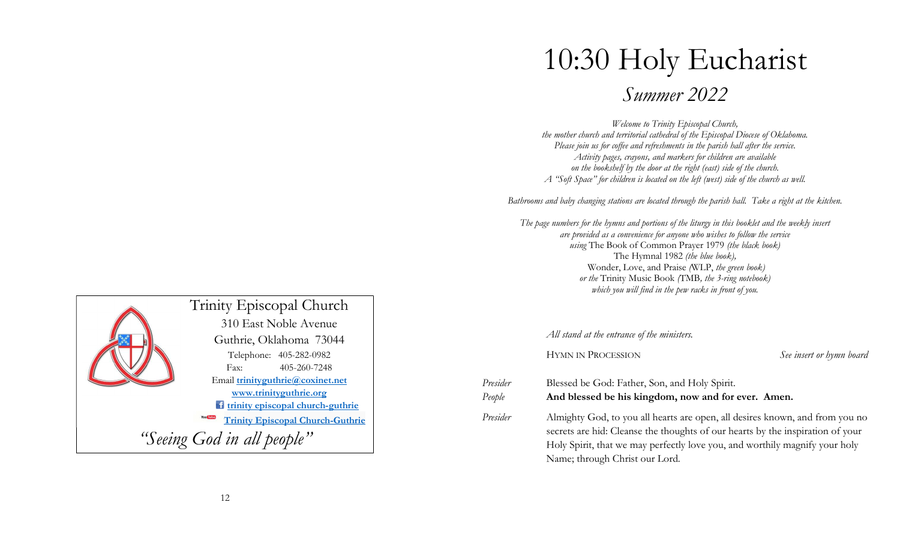## 10:30 Holy Eucharist

Summer 2022

Welcome to Trinity Episcopal Church, the mother church and territorial cathedral of the Episcopal Diocese of Oklahoma. Please join us for coffee and refreshments in the parish hall after the service. Activity pages, crayons, and markers for children are available on the bookshelf by the door at the right (east) side of the church. A "Soft Space" for children is located on the left (west) side of the church as well.

Bathrooms and baby changing stations are located through the parish hall. Take a right at the kitchen.

The page numbers for the hymns and portions of the liturgy in this booklet and the weekly insert are provided as a convenience for anyone who wishes to follow the service using The Book of Common Prayer 1979 (the black book) The Hymnal 1982 (the blue book), Wonder, Love, and Praise (WLP, the green book) or the Trinity Music Book (TMB, the 3-ring notebook) which you will find in the pew racks in front of you.

All stand at the entrance of the ministers.

HYMN IN PROCESSION See insert or hymn board

| Presider | Blessed be God: Father, Son, and Holy Spirit.                                |
|----------|------------------------------------------------------------------------------|
| People   | And blessed be his kingdom, now and for ever. Amen.                          |
| Presider | Almighty God, to you all hearts are open, all desires known, and from you no |

secrets are hid: Cleanse the thoughts of our hearts by the inspiration of your Holy Spirit, that we may perfectly love you, and worthily magnify your holy Name; through Christ our Lord.

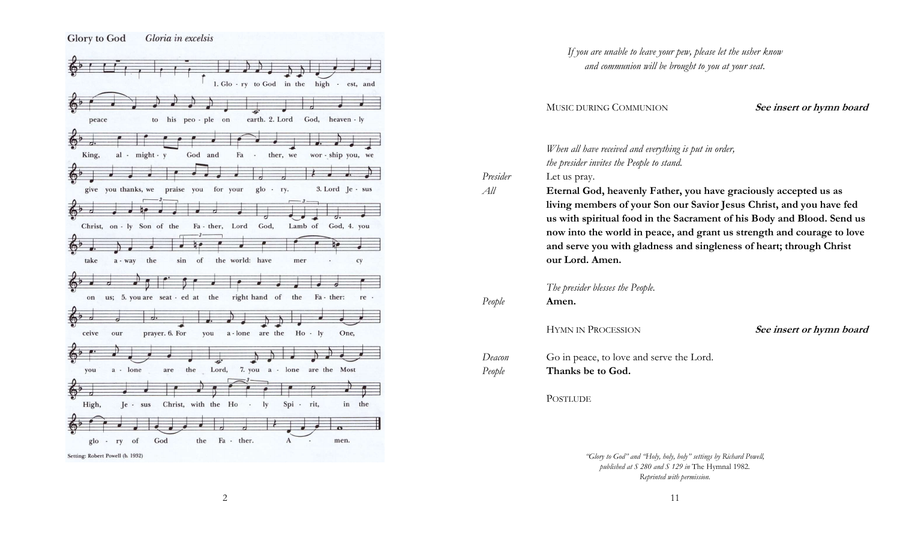

|                  | If you are unable to leave your pew, please let the usher know<br>and communion will be brought to you at your seat.                                                                                                                                                                                                                                                                                   |                          |
|------------------|--------------------------------------------------------------------------------------------------------------------------------------------------------------------------------------------------------------------------------------------------------------------------------------------------------------------------------------------------------------------------------------------------------|--------------------------|
|                  | MUSIC DURING COMMUNION                                                                                                                                                                                                                                                                                                                                                                                 | See insert or hymn board |
|                  | When all have received and everything is put in order,<br>the presider invites the People to stand.                                                                                                                                                                                                                                                                                                    |                          |
| Presider<br>All  | Let us pray.<br>Eternal God, heavenly Father, you have graciously accepted us as<br>living members of your Son our Savior Jesus Christ, and you have fed<br>us with spiritual food in the Sacrament of his Body and Blood. Send us<br>now into the world in peace, and grant us strength and courage to love<br>and serve you with gladness and singleness of heart; through Christ<br>our Lord. Amen. |                          |
| People           | The presider blesses the People.<br>Amen.                                                                                                                                                                                                                                                                                                                                                              |                          |
|                  | <b>HYMN IN PROCESSION</b>                                                                                                                                                                                                                                                                                                                                                                              | See insert or hymn board |
| Deacon<br>People | Go in peace, to love and serve the Lord.<br>Thanks be to God.                                                                                                                                                                                                                                                                                                                                          |                          |
|                  | <b>POSTLUDE</b>                                                                                                                                                                                                                                                                                                                                                                                        |                          |
|                  |                                                                                                                                                                                                                                                                                                                                                                                                        |                          |

"Glory to God" and "Holy, holy, holy" settings by Richard Powell, published at S 280 and S 129 in The Hymnal 1982. Reprinted with permission.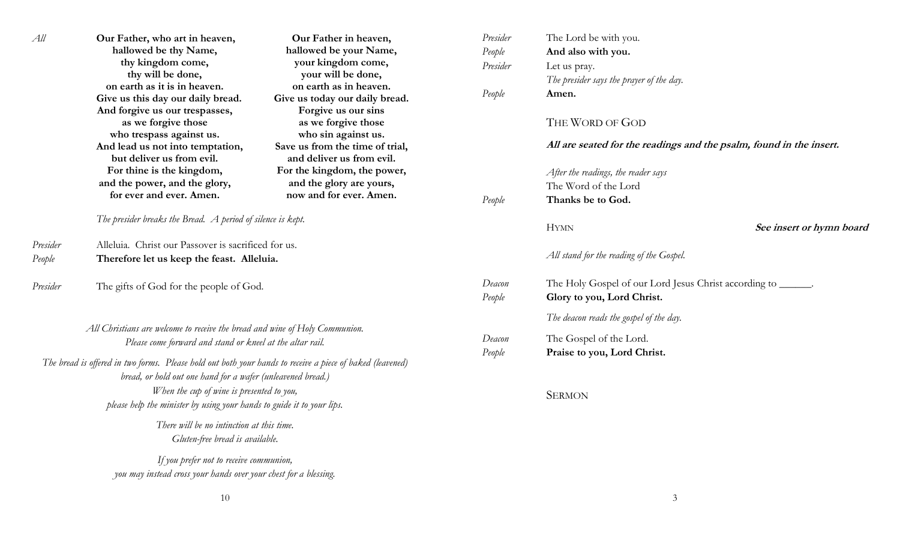| All                                                                                                         | Our Father, who art in heaven,<br>hallowed be thy Name,<br>thy kingdom come,                                                                                                                                                                 | Our Father in heaven,<br>hallowed be your Name,<br>your kingdom come,                                                                                                                                               | Presider<br>People<br>Presider          | The Lord be with you.<br>And also with you.<br>Let us pray.                                 |  |
|-------------------------------------------------------------------------------------------------------------|----------------------------------------------------------------------------------------------------------------------------------------------------------------------------------------------------------------------------------------------|---------------------------------------------------------------------------------------------------------------------------------------------------------------------------------------------------------------------|-----------------------------------------|---------------------------------------------------------------------------------------------|--|
|                                                                                                             | thy will be done,<br>on earth as it is in heaven.<br>Give us this day our daily bread.<br>And forgive us our trespasses,<br>as we forgive those<br>who trespass against us.<br>And lead us not into temptation,<br>but deliver us from evil. | your will be done,<br>on earth as in heaven.<br>Give us today our daily bread.<br>Forgive us our sins<br>as we forgive those<br>who sin against us.<br>Save us from the time of trial,<br>and deliver us from evil. | People                                  | The presider says the prayer of the day.<br>Amen.                                           |  |
|                                                                                                             |                                                                                                                                                                                                                                              |                                                                                                                                                                                                                     |                                         | THE WORD OF GOD                                                                             |  |
|                                                                                                             |                                                                                                                                                                                                                                              |                                                                                                                                                                                                                     |                                         | All are seated for the readings and the psalm, found in the insert.                         |  |
|                                                                                                             | For thine is the kingdom,                                                                                                                                                                                                                    | For the kingdom, the power,                                                                                                                                                                                         |                                         | After the readings, the reader says                                                         |  |
|                                                                                                             | and the power, and the glory,                                                                                                                                                                                                                | and the glory are yours,<br>now and for ever. Amen.                                                                                                                                                                 |                                         | The Word of the Lord                                                                        |  |
|                                                                                                             | for ever and ever. Amen.                                                                                                                                                                                                                     |                                                                                                                                                                                                                     | People                                  | Thanks be to God.                                                                           |  |
| The presider breaks the Bread. A period of silence is kept.                                                 |                                                                                                                                                                                                                                              |                                                                                                                                                                                                                     | <b>HYMN</b>                             | See insert or hymn board                                                                    |  |
| Presider                                                                                                    | Alleluia. Christ our Passover is sacrificed for us.                                                                                                                                                                                          |                                                                                                                                                                                                                     |                                         |                                                                                             |  |
| People                                                                                                      | Therefore let us keep the feast. Alleluia.                                                                                                                                                                                                   |                                                                                                                                                                                                                     |                                         | All stand for the reading of the Gospel.                                                    |  |
| Presider                                                                                                    | The gifts of God for the people of God.                                                                                                                                                                                                      |                                                                                                                                                                                                                     | Deacon<br>People                        | The Holy Gospel of our Lord Jesus Christ according to ______.<br>Glory to you, Lord Christ. |  |
| All Christians are welcome to receive the bread and wine of Holy Communion.                                 |                                                                                                                                                                                                                                              |                                                                                                                                                                                                                     | The deacon reads the gospel of the day. |                                                                                             |  |
|                                                                                                             |                                                                                                                                                                                                                                              |                                                                                                                                                                                                                     | Deacon                                  | The Gospel of the Lord.                                                                     |  |
| Please come forward and stand or kneel at the altar rail.                                                   |                                                                                                                                                                                                                                              |                                                                                                                                                                                                                     | People                                  | Praise to you, Lord Christ.                                                                 |  |
|                                                                                                             | The bread is offered in two forms. Please hold out both your hands to receive a piece of baked (leavened)<br>bread, or hold out one hand for a wafer (unleavened bread.)<br>When the cup of wine is presented to you,                        |                                                                                                                                                                                                                     |                                         | <b>SERMON</b>                                                                               |  |
|                                                                                                             | please help the minister by using your hands to guide it to your lips.                                                                                                                                                                       |                                                                                                                                                                                                                     |                                         |                                                                                             |  |
| There will be no intinction at this time.<br>Gluten-free bread is available.                                |                                                                                                                                                                                                                                              |                                                                                                                                                                                                                     |                                         |                                                                                             |  |
| If you prefer not to receive communion,<br>you may instead cross your hands over your chest for a blessing. |                                                                                                                                                                                                                                              |                                                                                                                                                                                                                     |                                         |                                                                                             |  |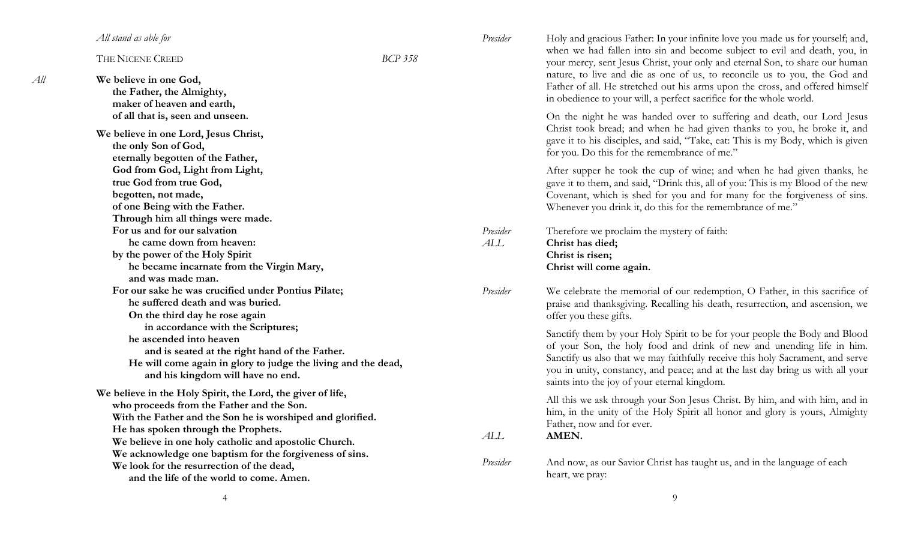|     | All stand as able for                                         |                | Presider                                                   | Holy and gracious Father: In your infinite love you made us for yourself; and,                                                                               |  |
|-----|---------------------------------------------------------------|----------------|------------------------------------------------------------|--------------------------------------------------------------------------------------------------------------------------------------------------------------|--|
|     | THE NICENE CREED                                              | <b>BCP 358</b> |                                                            | when we had fallen into sin and become subject to evil and death, you, in<br>your mercy, sent Jesus Christ, your only and eternal Son, to share our human    |  |
| All | We believe in one God,                                        |                |                                                            | nature, to live and die as one of us, to reconcile us to you, the God and                                                                                    |  |
|     | the Father, the Almighty,                                     |                |                                                            | Father of all. He stretched out his arms upon the cross, and offered himself                                                                                 |  |
|     | maker of heaven and earth,                                    |                |                                                            | in obedience to your will, a perfect sacrifice for the whole world.                                                                                          |  |
|     | of all that is, seen and unseen.                              |                |                                                            | On the night he was handed over to suffering and death, our Lord Jesus                                                                                       |  |
|     | We believe in one Lord, Jesus Christ,                         |                |                                                            | Christ took bread; and when he had given thanks to you, he broke it, and<br>gave it to his disciples, and said, "Take, eat: This is my Body, which is given  |  |
|     | the only Son of God,                                          |                |                                                            |                                                                                                                                                              |  |
|     | eternally begotten of the Father,                             |                |                                                            | for you. Do this for the remembrance of me."                                                                                                                 |  |
|     | God from God, Light from Light,                               |                |                                                            | After supper he took the cup of wine; and when he had given thanks, he                                                                                       |  |
|     | true God from true God,                                       |                |                                                            | gave it to them, and said, "Drink this, all of you: This is my Blood of the new<br>Covenant, which is shed for you and for many for the forgiveness of sins. |  |
|     | begotten, not made,                                           |                |                                                            |                                                                                                                                                              |  |
|     | of one Being with the Father.                                 |                |                                                            | Whenever you drink it, do this for the remembrance of me."                                                                                                   |  |
|     | Through him all things were made.                             |                |                                                            |                                                                                                                                                              |  |
|     | For us and for our salvation                                  |                | Presider                                                   | Therefore we proclaim the mystery of faith:                                                                                                                  |  |
|     | he came down from heaven:                                     |                | $\boldsymbol{A}\boldsymbol{\text{L}}\boldsymbol{\text{L}}$ | Christ has died;                                                                                                                                             |  |
|     | by the power of the Holy Spirit                               |                |                                                            | Christ is risen;                                                                                                                                             |  |
|     | he became incarnate from the Virgin Mary,                     |                |                                                            | Christ will come again.                                                                                                                                      |  |
|     | and was made man.                                             |                |                                                            |                                                                                                                                                              |  |
|     | For our sake he was crucified under Pontius Pilate;           |                |                                                            | We celebrate the memorial of our redemption, O Father, in this sacrifice of                                                                                  |  |
|     | he suffered death and was buried.                             |                |                                                            | praise and thanksgiving. Recalling his death, resurrection, and ascension, we                                                                                |  |
|     | On the third day he rose again                                |                |                                                            | offer you these gifts.                                                                                                                                       |  |
|     | in accordance with the Scriptures;                            |                |                                                            | Sanctify them by your Holy Spirit to be for your people the Body and Blood                                                                                   |  |
|     | he ascended into heaven                                       |                |                                                            | of your Son, the holy food and drink of new and unending life in him.                                                                                        |  |
|     | and is seated at the right hand of the Father.                |                |                                                            | Sanctify us also that we may faithfully receive this holy Sacrament, and serve                                                                               |  |
|     | He will come again in glory to judge the living and the dead, |                |                                                            | you in unity, constancy, and peace; and at the last day bring us with all your                                                                               |  |
|     | and his kingdom will have no end.                             |                |                                                            | saints into the joy of your eternal kingdom.                                                                                                                 |  |
|     | We believe in the Holy Spirit, the Lord, the giver of life,   |                |                                                            | All this we ask through your Son Jesus Christ. By him, and with him, and in                                                                                  |  |
|     | who proceeds from the Father and the Son.                     |                |                                                            | him, in the unity of the Holy Spirit all honor and glory is yours, Almighty                                                                                  |  |
|     | With the Father and the Son he is worshiped and glorified.    |                |                                                            | Father, now and for ever.                                                                                                                                    |  |
|     | He has spoken through the Prophets.                           |                |                                                            | AMEN.                                                                                                                                                        |  |
|     | We believe in one holy catholic and apostolic Church.         |                | ALL                                                        |                                                                                                                                                              |  |
|     | We acknowledge one baptism for the forgiveness of sins.       |                |                                                            | And now, as our Savior Christ has taught us, and in the language of each                                                                                     |  |
|     | We look for the resurrection of the dead,                     |                | Presider                                                   |                                                                                                                                                              |  |
|     | and the life of the world to come. Amen.                      |                |                                                            | heart, we pray:                                                                                                                                              |  |

9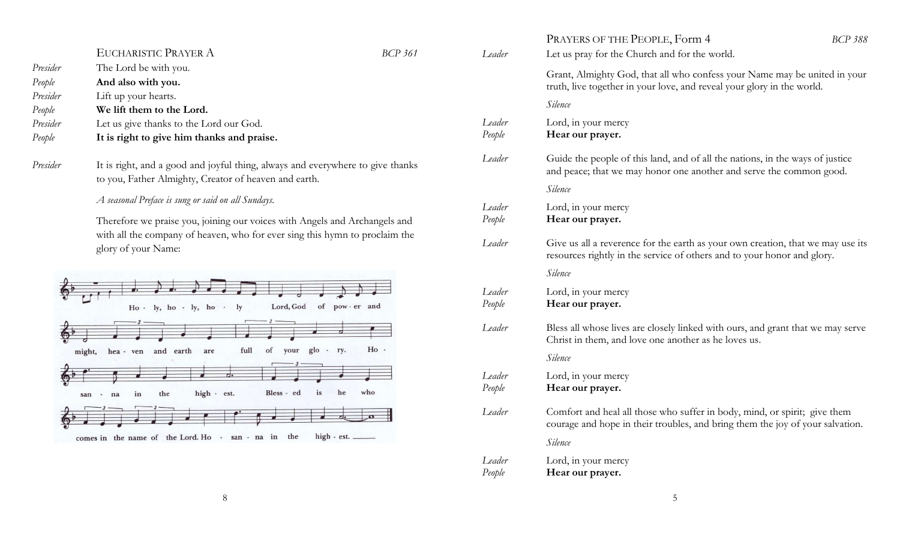|                                |                                                                                                                                                                                                                                        |                |                                                                                                                                         | PRAYERS OF THE PEOPLE, Form 4                                                                                                                                   | <b>BCP 388</b> |
|--------------------------------|----------------------------------------------------------------------------------------------------------------------------------------------------------------------------------------------------------------------------------------|----------------|-----------------------------------------------------------------------------------------------------------------------------------------|-----------------------------------------------------------------------------------------------------------------------------------------------------------------|----------------|
|                                | EUCHARISTIC PRAYER A                                                                                                                                                                                                                   | <b>BCP 361</b> | Leader                                                                                                                                  | Let us pray for the Church and for the world.                                                                                                                   |                |
| Presider<br>People<br>Presider | The Lord be with you.<br>And also with you.                                                                                                                                                                                            |                |                                                                                                                                         | Grant, Almighty God, that all who confess your Name may be united in your<br>truth, live together in your love, and reveal your glory in the world.             |                |
| People                         | Lift up your hearts.<br>We lift them to the Lord.                                                                                                                                                                                      |                |                                                                                                                                         | Silence                                                                                                                                                         |                |
| Presider<br>People             | Let us give thanks to the Lord our God.<br>It is right to give him thanks and praise.                                                                                                                                                  |                | Leader<br>People                                                                                                                        | Lord, in your mercy<br>Hear our prayer.                                                                                                                         |                |
| Presider                       | It is right, and a good and joyful thing, always and everywhere to give thanks<br>to you, Father Almighty, Creator of heaven and earth.                                                                                                |                | Leader                                                                                                                                  | Guide the people of this land, and of all the nations, in the ways of justice<br>and peace; that we may honor one another and serve the common good.<br>Silence |                |
|                                | A seasonal Preface is sung or said on all Sundays.<br>Therefore we praise you, joining our voices with Angels and Archangels and<br>with all the company of heaven, who for ever sing this hymn to proclaim the<br>glory of your Name: |                | Leader<br>People                                                                                                                        | Lord, in your mercy<br>Hear our prayer.                                                                                                                         |                |
|                                |                                                                                                                                                                                                                                        |                | Leader                                                                                                                                  | Give us all a reverence for the earth as your own creation, that we may use its<br>resources rightly in the service of others and to your honor and glory.      |                |
|                                |                                                                                                                                                                                                                                        |                |                                                                                                                                         | Silence                                                                                                                                                         |                |
|                                | Lord, God<br>of pow-er and<br>$Ho - ly, ho - ly, ho - ly$                                                                                                                                                                              |                | Leader<br>People                                                                                                                        | Lord, in your mercy<br>Hear our prayer.                                                                                                                         |                |
|                                | Ho -<br>full<br>of your glo - ry.<br>hea - ven and earth are<br>might,                                                                                                                                                                 | Leader         | Bless all whose lives are closely linked with ours, and grant that we may serve<br>Christ in them, and love one another as he loves us. |                                                                                                                                                                 |                |
|                                |                                                                                                                                                                                                                                        |                |                                                                                                                                         | Silence                                                                                                                                                         |                |
|                                | is<br>who<br>high - est.<br>Bless - ed<br>he<br>the<br>in<br>na<br>san -                                                                                                                                                               |                | Leader<br>People                                                                                                                        | Lord, in your mercy<br>Hear our prayer.                                                                                                                         |                |
|                                |                                                                                                                                                                                                                                        |                | Leader                                                                                                                                  | Comfort and heal all those who suffer in body, mind, or spirit; give them<br>courage and hope in their troubles, and bring them the joy of your salvation.      |                |
|                                | $high - est.$<br>comes in the name of the Lord. Ho - san - na in the                                                                                                                                                                   |                | Cilagca                                                                                                                                 |                                                                                                                                                                 |                |

r the Church and for the world. nty God, that all who confess your Name may be united in your ether in your love, and reveal your glory in the world. mercy People **Hear our prayer.** ople of this land, and of all the nations, in the ways of justice at we may honor one another and serve the common good. mercy People **Hear our prayer.** everence for the earth as your own creation, that we may use its rtly in the service of others and to your honor and glory. mercy People **Hear our prayer.** le lives are closely linked with ours, and grant that we may serve n, and love one another as he loves us. mercy People **Hear our prayer.** heal all those who suffer in body, mind, or spirit; give them ope in their troubles, and bring them the joy of your salvation. Silence Leader Lord, in your mercy People **Hear our prayer.**